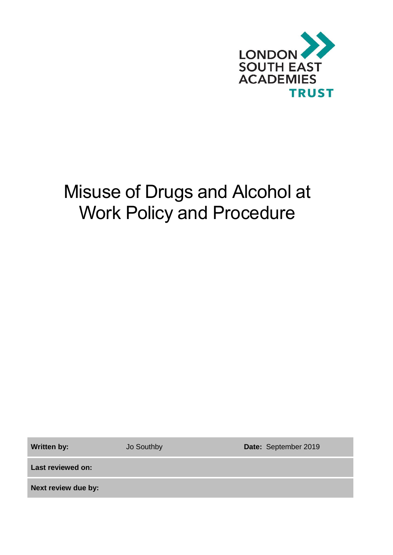

# Misuse of Drugs and Alcohol at Work Policy and Procedure

Written by: **Jo Southby <b>Date:** September 2019

**Last reviewed on:**

**Next review due by:**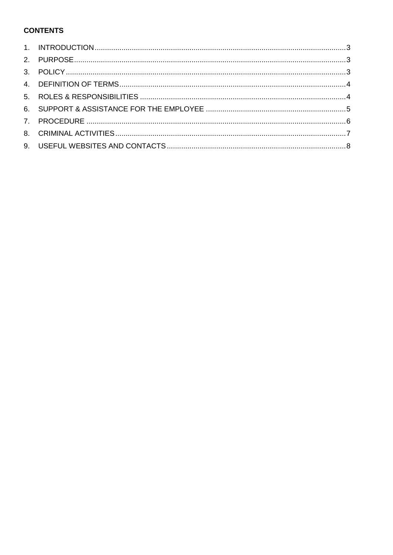# **CONTENTS**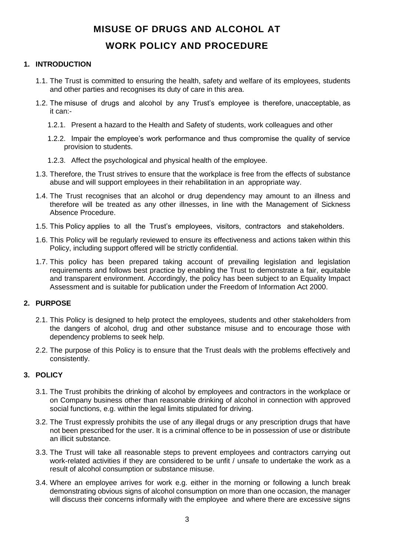# **MISUSE OF DRUGS AND ALCOHOL AT WORK POLICY AND PROCEDURE**

# <span id="page-2-0"></span>**1. INTRODUCTION**

- 1.1. The Trust is committed to ensuring the health, safety and welfare of its employees, students and other parties and recognises its duty of care in this area.
- 1.2. The misuse of drugs and alcohol by any Trust's employee is therefore, unacceptable, as it can:-
	- 1.2.1. Present a hazard to the Health and Safety of students, work colleagues and other
	- 1.2.2. Impair the employee's work performance and thus compromise the quality of service provision to students.
	- 1.2.3. Affect the psychological and physical health of the employee.
- 1.3. Therefore, the Trust strives to ensure that the workplace is free from the effects of substance abuse and will support employees in their rehabilitation in an appropriate way.
- 1.4. The Trust recognises that an alcohol or drug dependency may amount to an illness and therefore will be treated as any other illnesses, in line with the Management of Sickness Absence Procedure.
- 1.5. This Policy applies to all the Trust's employees, visitors, contractors and stakeholders.
- 1.6. This Policy will be regularly reviewed to ensure its effectiveness and actions taken within this Policy, including support offered will be strictly confidential.
- 1.7. This policy has been prepared taking account of prevailing legislation and legislation requirements and follows best practice by enabling the Trust to demonstrate a fair, equitable and transparent environment. Accordingly, the policy has been subject to an Equality Impact Assessment and is suitable for publication under the Freedom of Information Act 2000.

#### <span id="page-2-1"></span>**2. PURPOSE**

- 2.1. This Policy is designed to help protect the employees, students and other stakeholders from the dangers of alcohol, drug and other substance misuse and to encourage those with dependency problems to seek help.
- 2.2. The purpose of this Policy is to ensure that the Trust deals with the problems effectively and consistently.

# <span id="page-2-2"></span>**3. POLICY**

- 3.1. The Trust prohibits the drinking of alcohol by employees and contractors in the workplace or on Company business other than reasonable drinking of alcohol in connection with approved social functions, e.g. within the legal limits stipulated for driving.
- 3.2. The Trust expressly prohibits the use of any illegal drugs or any prescription drugs that have not been prescribed for the user. It is a criminal offence to be in possession of use or distribute an illicit substance.
- 3.3. The Trust will take all reasonable steps to prevent employees and contractors carrying out work-related activities if they are considered to be unfit / unsafe to undertake the work as a result of alcohol consumption or substance misuse.
- 3.4. Where an employee arrives for work e.g. either in the morning or following a lunch break demonstrating obvious signs of alcohol consumption on more than one occasion, the manager will discuss their concerns informally with the employee and where there are excessive signs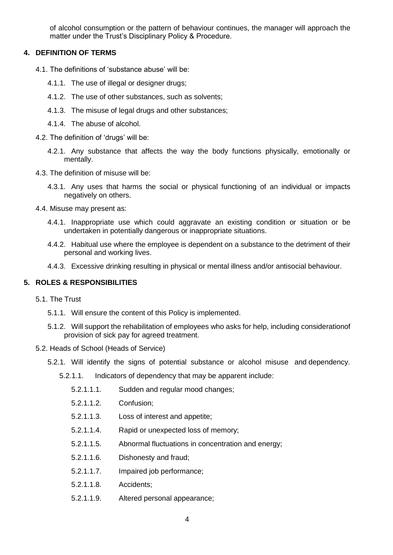of alcohol consumption or the pattern of behaviour continues, the manager will approach the matter under the Trust's Disciplinary Policy & Procedure.

# <span id="page-3-0"></span>**4. DEFINITION OF TERMS**

- 4.1. The definitions of 'substance abuse' will be:
	- 4.1.1. The use of illegal or designer drugs;
	- 4.1.2. The use of other substances, such as solvents;
	- 4.1.3. The misuse of legal drugs and other substances;
	- 4.1.4. The abuse of alcohol.

4.2. The definition of 'drugs' will be:

- 4.2.1. Any substance that affects the way the body functions physically, emotionally or mentally.
- 4.3. The definition of misuse will be:
	- 4.3.1. Any uses that harms the social or physical functioning of an individual or impacts negatively on others.
- 4.4. Misuse may present as:
	- 4.4.1. Inappropriate use which could aggravate an existing condition or situation or be undertaken in potentially dangerous or inappropriate situations.
	- 4.4.2. Habitual use where the employee is dependent on a substance to the detriment of their personal and working lives.
	- 4.4.3. Excessive drinking resulting in physical or mental illness and/or antisocial behaviour.

### <span id="page-3-1"></span>**5. ROLES & RESPONSIBILITIES**

- 5.1. The Trust
	- 5.1.1. Will ensure the content of this Policy is implemented.
	- 5.1.2. Will support the rehabilitation of employees who asks for help, including considerationof provision of sick pay for agreed treatment.
- 5.2. Heads of School (Heads of Service)
	- 5.2.1. Will identify the signs of potential substance or alcohol misuse and dependency.
		- 5.2.1.1. Indicators of dependency that may be apparent include:
			- 5.2.1.1.1. Sudden and regular mood changes;
			- 5.2.1.1.2. Confusion;
			- 5.2.1.1.3. Loss of interest and appetite;
			- 5.2.1.1.4. Rapid or unexpected loss of memory;
			- 5.2.1.1.5. Abnormal fluctuations in concentration and energy;
			- 5.2.1.1.6. Dishonesty and fraud;
			- 5.2.1.1.7. Impaired job performance;
			- 5.2.1.1.8. Accidents;
			- 5.2.1.1.9. Altered personal appearance;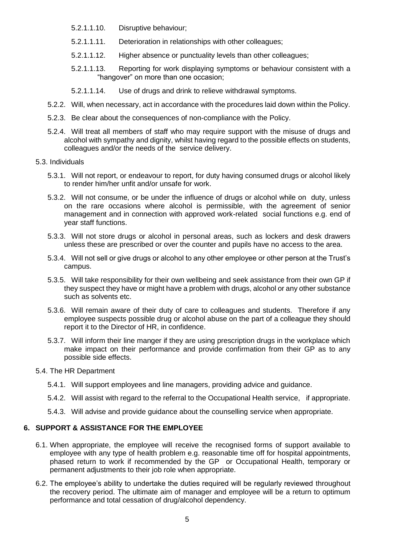- 5.2.1.1.10. Disruptive behaviour;
- 5.2.1.1.11. Deterioration in relationships with other colleagues;
- 5.2.1.1.12. Higher absence or punctuality levels than other colleagues;
- 5.2.1.1.13. Reporting for work displaying symptoms or behaviour consistent with a "hangover" on more than one occasion;
- 5.2.1.1.14. Use of drugs and drink to relieve withdrawal symptoms.
- 5.2.2. Will, when necessary, act in accordance with the procedures laid down within the Policy.
- 5.2.3. Be clear about the consequences of non-compliance with the Policy.
- 5.2.4. Will treat all members of staff who may require support with the misuse of drugs and alcohol with sympathy and dignity, whilst having regard to the possible effects on students, colleagues and/or the needs of the service delivery.
- 5.3. Individuals
	- 5.3.1. Will not report, or endeavour to report, for duty having consumed drugs or alcohol likely to render him/her unfit and/or unsafe for work.
	- 5.3.2. Will not consume, or be under the influence of drugs or alcohol while on duty, unless on the rare occasions where alcohol is permissible, with the agreement of senior management and in connection with approved work-related social functions e.g. end of year staff functions.
	- 5.3.3. Will not store drugs or alcohol in personal areas, such as lockers and desk drawers unless these are prescribed or over the counter and pupils have no access to the area.
	- 5.3.4. Will not sell or give drugs or alcohol to any other employee or other person at the Trust's campus.
	- 5.3.5. Will take responsibility for their own wellbeing and seek assistance from their own GP if they suspect they have or might have a problem with drugs, alcohol or any other substance such as solvents etc.
	- 5.3.6. Will remain aware of their duty of care to colleagues and students. Therefore if any employee suspects possible drug or alcohol abuse on the part of a colleague they should report it to the Director of HR, in confidence.
	- 5.3.7. Will inform their line manger if they are using prescription drugs in the workplace which make impact on their performance and provide confirmation from their GP as to any possible side effects.
- 5.4. The HR Department
	- 5.4.1. Will support employees and line managers, providing advice and guidance.
	- 5.4.2. Will assist with regard to the referral to the Occupational Health service, if appropriate.
	- 5.4.3. Will advise and provide guidance about the counselling service when appropriate.

#### <span id="page-4-0"></span>**6. SUPPORT & ASSISTANCE FOR THE EMPLOYEE**

- 6.1. When appropriate, the employee will receive the recognised forms of support available to employee with any type of health problem e.g. reasonable time off for hospital appointments, phased return to work if recommended by the GP or Occupational Health, temporary or permanent adjustments to their job role when appropriate.
- 6.2. The employee's ability to undertake the duties required will be regularly reviewed throughout the recovery period. The ultimate aim of manager and employee will be a return to optimum performance and total cessation of drug/alcohol dependency.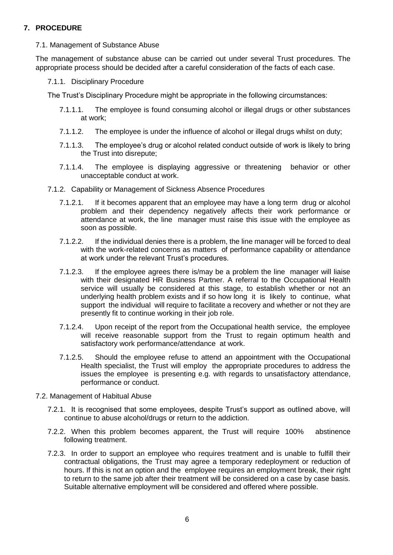## <span id="page-5-0"></span>**7. PROCEDURE**

7.1. Management of Substance Abuse

The management of substance abuse can be carried out under several Trust procedures. The appropriate process should be decided after a careful consideration of the facts of each case.

7.1.1. Disciplinary Procedure

The Trust's Disciplinary Procedure might be appropriate in the following circumstances:

- 7.1.1.1. The employee is found consuming alcohol or illegal drugs or other substances at work;
- 7.1.1.2. The employee is under the influence of alcohol or illegal drugs whilst on duty;
- 7.1.1.3. The employee's drug or alcohol related conduct outside of work is likely to bring the Trust into disrepute;
- 7.1.1.4. The employee is displaying aggressive or threatening behavior or other unacceptable conduct at work.
- 7.1.2. Capability or Management of Sickness Absence Procedures
	- 7.1.2.1. If it becomes apparent that an employee may have a long term drug or alcohol problem and their dependency negatively affects their work performance or attendance at work, the line manager must raise this issue with the employee as soon as possible.
	- 7.1.2.2. If the individual denies there is a problem, the line manager will be forced to deal with the work-related concerns as matters of performance capability or attendance at work under the relevant Trust's procedures.
	- 7.1.2.3. If the employee agrees there is/may be a problem the line manager will liaise with their designated HR Business Partner. A referral to the Occupational Health service will usually be considered at this stage, to establish whether or not an underlying health problem exists and if so how long it is likely to continue, what support the individual will require to facilitate a recovery and whether or not they are presently fit to continue working in their job role.
	- 7.1.2.4. Upon receipt of the report from the Occupational health service, the employee will receive reasonable support from the Trust to regain optimum health and satisfactory work performance/attendance at work.
	- 7.1.2.5. Should the employee refuse to attend an appointment with the Occupational Health specialist, the Trust will employ the appropriate procedures to address the issues the employee is presenting e.g. with regards to unsatisfactory attendance, performance or conduct.
- 7.2. Management of Habitual Abuse
	- 7.2.1. It is recognised that some employees, despite Trust's support as outlined above, will continue to abuse alcohol/drugs or return to the addiction.
	- 7.2.2. When this problem becomes apparent, the Trust will require 100% abstinence following treatment.
	- 7.2.3. In order to support an employee who requires treatment and is unable to fulfill their contractual obligations, the Trust may agree a temporary redeployment or reduction of hours. If this is not an option and the employee requires an employment break, their right to return to the same job after their treatment will be considered on a case by case basis. Suitable alternative employment will be considered and offered where possible.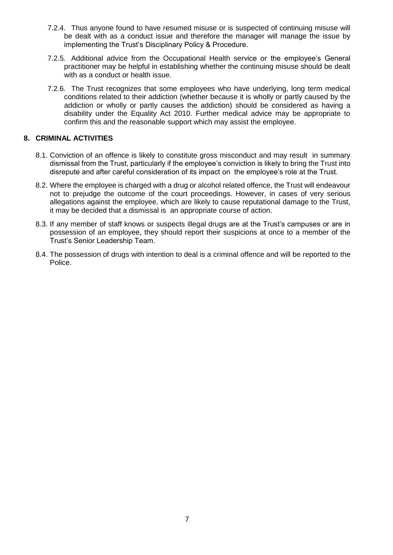- 7.2.4. Thus anyone found to have resumed misuse or is suspected of continuing misuse will be dealt with as a conduct issue and therefore the manager will manage the issue by implementing the Trust's Disciplinary Policy & Procedure.
- 7.2.5. Additional advice from the Occupational Health service or the employee's General practitioner may be helpful in establishing whether the continuing misuse should be dealt with as a conduct or health issue.
- 7.2.6. The Trust recognizes that some employees who have underlying, long term medical conditions related to their addiction (whether because it is wholly or partly caused by the addiction or wholly or partly causes the addiction) should be considered as having a disability under the Equality Act 2010. Further medical advice may be appropriate to confirm this and the reasonable support which may assist the employee.

## <span id="page-6-0"></span>**8. CRIMINAL ACTIVITIES**

- 8.1. Conviction of an offence is likely to constitute gross misconduct and may result in summary dismissal from the Trust, particularly if the employee's conviction is likely to bring the Trust into disrepute and after careful consideration of its impact on the employee's role at the Trust.
- 8.2. Where the employee is charged with a drug or alcohol related offence, the Trust will endeavour not to prejudge the outcome of the court proceedings. However, in cases of very serious allegations against the employee, which are likely to cause reputational damage to the Trust, it may be decided that a dismissal is an appropriate course of action.
- 8.3. If any member of staff knows or suspects illegal drugs are at the Trust's campuses or are in possession of an employee, they should report their suspicions at once to a member of the Trust's Senior Leadership Team.
- 8.4. The possession of drugs with intention to deal is a criminal offence and will be reported to the Police.